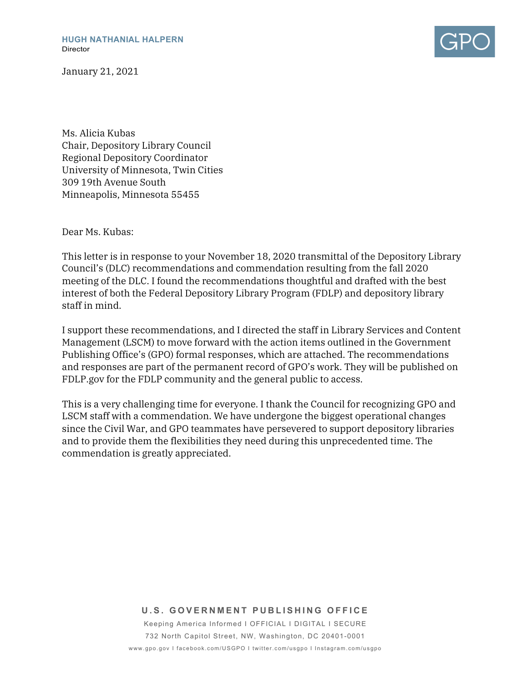

January 21, 2021

Ms. Alicia Kubas Chair, Depository Library Council Regional Depository Coordinator University of Minnesota, Twin Cities 309 19th Avenue South Minneapolis, Minnesota 55455

Dear Ms. Kubas:

This letter is in response to your November 18, 2020 transmittal of the Depository Library Council's (DLC) recommendations and commendation resulting from the fall 2020 meeting of the DLC. I found the recommendations thoughtful and drafted with the best interest of both the Federal Depository Library Program (FDLP) and depository library staff in mind.

I support these recommendations, and I directed the staff in Library Services and Content Management (LSCM) to move forward with the action items outlined in the Government Publishing Office's (GPO) formal responses, which are attached. The recommendations and responses are part of the permanent record of GPO's work. They will be published on FDLP.gov for the FDLP community and the general public to access.

This is a very challenging time for everyone. I thank the Council for recognizing GPO and LSCM staff with a commendation. We have undergone the biggest operational changes since the Civil War, and GPO teammates have persevered to support depository libraries and to provide them the flexibilities they need during this unprecedented time. The commendation is greatly appreciated.

**U.S. GOVERNMENT PUBLISHING OFFICE**

Keeping America Informed I OFFICIAL I DIGITAL I SECURE 732 North Capitol Street, NW, Washington, DC 20401-0001 www.gpo.gov I facebook.com/USGPO I twitter.com/usgpo I Instagram.com/usgpo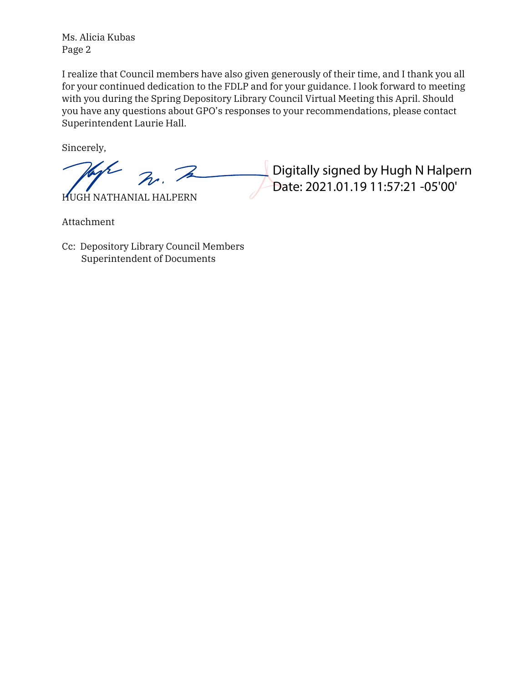Ms. Alicia Kubas Page 2

I realize that Council members have also given generously of their time, and I thank you all for your continued dedication to the FDLP and for your guidance. I look forward to meeting with you during the Spring Depository Library Council Virtual Meeting this April. Should you have any questions about GPO's responses to your recommendations, please contact Superintendent Laurie Hall.

Sincerely,

 $B_{\rho}$ ,  $\mathcal{P}_{\rho}$ 

HUGH NATHANIAL HALPERN

Digitally signed by Hugh N Halpern Date: 2021.01.19 11:57:21 -05'00'

Attachment

Cc: Depository Library Council Members Superintendent of Documents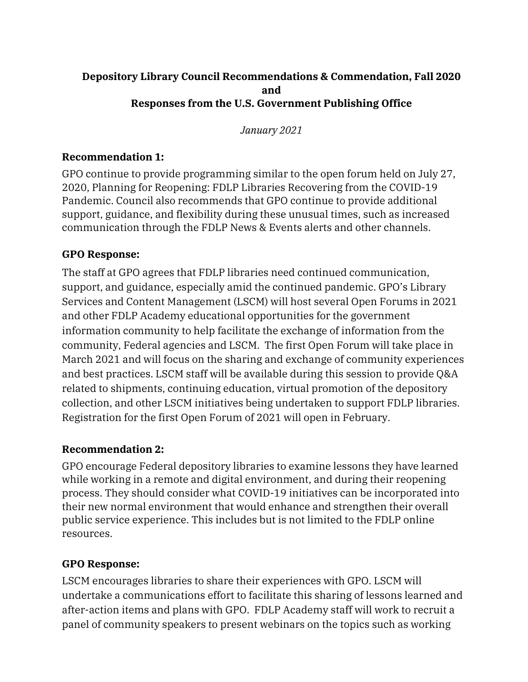## **Depository Library Council Recommendations & Commendation, Fall 2020 and Responses from the U.S. Government Publishing Office**

*January 2021*

### **Recommendation 1:**

GPO continue to provide programming similar to the open forum held on July 27, 2020, Planning for Reopening: FDLP Libraries Recovering from the COVID-19 Pandemic. Council also recommends that GPO continue to provide additional support, guidance, and flexibility during these unusual times, such as increased communication through the FDLP News & Events alerts and other channels.

## **GPO Response:**

The staff at GPO agrees that FDLP libraries need continued communication, support, and guidance, especially amid the continued pandemic. GPO's Library Services and Content Management (LSCM) will host several Open Forums in 2021 and other FDLP Academy educational opportunities for the government information community to help facilitate the exchange of information from the community, Federal agencies and LSCM. The first Open Forum will take place in March 2021 and will focus on the sharing and exchange of community experiences and best practices. LSCM staff will be available during this session to provide Q&A related to shipments, continuing education, virtual promotion of the depository collection, and other LSCM initiatives being undertaken to support FDLP libraries. Registration for the first Open Forum of 2021 will open in February.

### **Recommendation 2:**

GPO encourage Federal depository libraries to examine lessons they have learned while working in a remote and digital environment, and during their reopening process. They should consider what COVID-19 initiatives can be incorporated into their new normal environment that would enhance and strengthen their overall public service experience. This includes but is not limited to the FDLP online resources.

# **GPO Response:**

LSCM encourages libraries to share their experiences with GPO. LSCM will undertake a communications effort to facilitate this sharing of lessons learned and after-action items and plans with GPO. FDLP Academy staff will work to recruit a panel of community speakers to present webinars on the topics such as working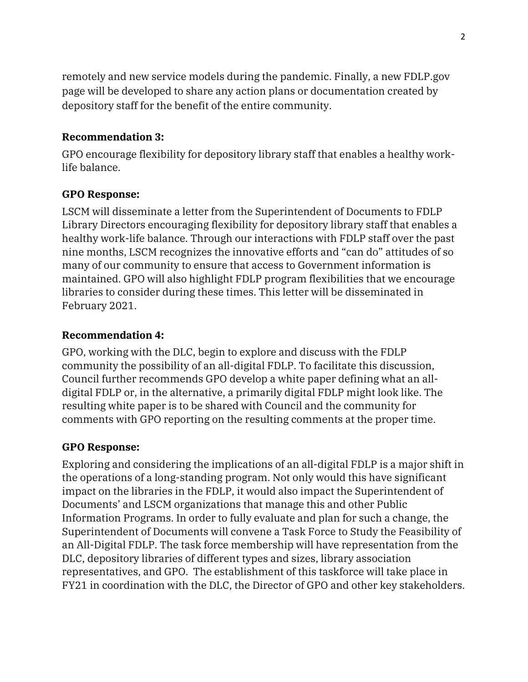remotely and new service models during the pandemic. Finally, a new FDLP.gov page will be developed to share any action plans or documentation created by depository staff for the benefit of the entire community.

## **Recommendation 3:**

GPO encourage flexibility for depository library staff that enables a healthy worklife balance.

### **GPO Response:**

LSCM will disseminate a letter from the Superintendent of Documents to FDLP Library Directors encouraging flexibility for depository library staff that enables a healthy work-life balance. Through our interactions with FDLP staff over the past nine months, LSCM recognizes the innovative efforts and "can do" attitudes of so many of our community to ensure that access to Government information is maintained. GPO will also highlight FDLP program flexibilities that we encourage libraries to consider during these times. This letter will be disseminated in February 2021.

## **Recommendation 4:**

GPO, working with the DLC, begin to explore and discuss with the FDLP community the possibility of an all-digital FDLP. To facilitate this discussion, Council further recommends GPO develop a white paper defining what an alldigital FDLP or, in the alternative, a primarily digital FDLP might look like. The resulting white paper is to be shared with Council and the community for comments with GPO reporting on the resulting comments at the proper time.

### **GPO Response:**

Exploring and considering the implications of an all-digital FDLP is a major shift in the operations of a long-standing program. Not only would this have significant impact on the libraries in the FDLP, it would also impact the Superintendent of Documents' and LSCM organizations that manage this and other Public Information Programs. In order to fully evaluate and plan for such a change, the Superintendent of Documents will convene a Task Force to Study the Feasibility of an All-Digital FDLP. The task force membership will have representation from the DLC, depository libraries of different types and sizes, library association representatives, and GPO. The establishment of this taskforce will take place in FY21 in coordination with the DLC, the Director of GPO and other key stakeholders.